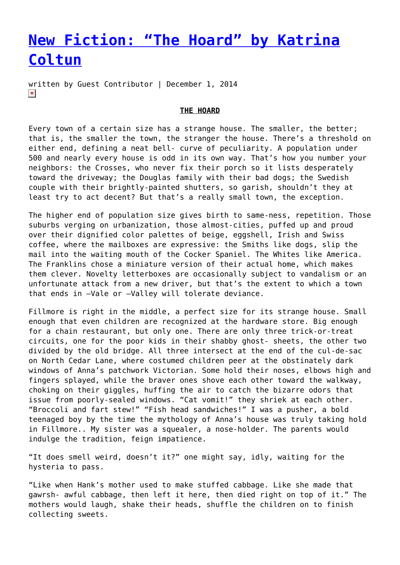## **[New Fiction: "The Hoard" by Katrina](https://entropymag.org/the-hoard-by-katrina-coltun/) [Coltun](https://entropymag.org/the-hoard-by-katrina-coltun/)**

written by Guest Contributor | December 1, 2014  $\pmb{\times}$ 

## **THE HOARD**

Every town of a certain size has a strange house. The smaller, the better; that is, the smaller the town, the stranger the house. There's a threshold on either end, defining a neat bell- curve of peculiarity. A population under 500 and nearly every house is odd in its own way. That's how you number your neighbors: the Crosses, who never fix their porch so it lists desperately toward the driveway; the Douglas family with their bad dogs; the Swedish couple with their brightly-painted shutters, so garish, shouldn't they at least try to act decent? But that's a really small town, the exception.

The higher end of population size gives birth to same-ness, repetition. Those suburbs verging on urbanization, those almost-cities, puffed up and proud over their dignified color palettes of beige, eggshell, Irish and Swiss coffee, where the mailboxes are expressive: the Smiths like dogs, slip the mail into the waiting mouth of the Cocker Spaniel. The Whites like America. The Franklins chose a miniature version of their actual home, which makes them clever. Novelty letterboxes are occasionally subject to vandalism or an unfortunate attack from a new driver, but that's the extent to which a town that ends in –Vale or –Valley will tolerate deviance.

Fillmore is right in the middle, a perfect size for its strange house. Small enough that even children are recognized at the hardware store. Big enough for a chain restaurant, but only one. There are only three trick-or-treat circuits, one for the poor kids in their shabby ghost- sheets, the other two divided by the old bridge. All three intersect at the end of the cul-de-sac on North Cedar Lane, where costumed children peer at the obstinately dark windows of Anna's patchwork Victorian. Some hold their noses, elbows high and fingers splayed, while the braver ones shove each other toward the walkway, choking on their giggles, huffing the air to catch the bizarre odors that issue from poorly-sealed windows. "Cat vomit!" they shriek at each other. "Broccoli and fart stew!" "Fish head sandwiches!" I was a pusher, a bold teenaged boy by the time the mythology of Anna's house was truly taking hold in Fillmore.. My sister was a squealer, a nose-holder. The parents would indulge the tradition, feign impatience.

"It does smell weird, doesn't it?" one might say, idly, waiting for the hysteria to pass.

"Like when Hank's mother used to make stuffed cabbage. Like she made that gawrsh- awful cabbage, then left it here, then died right on top of it." The mothers would laugh, shake their heads, shuffle the children on to finish collecting sweets.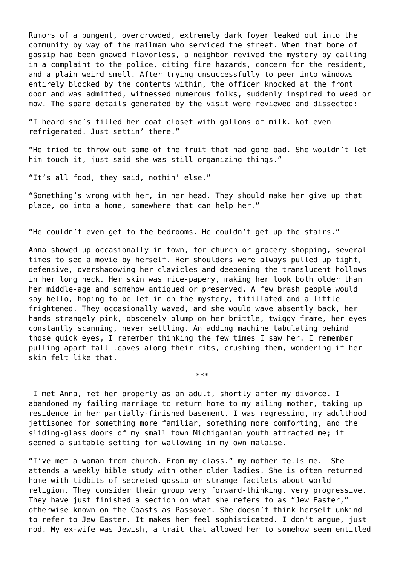Rumors of a pungent, overcrowded, extremely dark foyer leaked out into the community by way of the mailman who serviced the street. When that bone of gossip had been gnawed flavorless, a neighbor revived the mystery by calling in a complaint to the police, citing fire hazards, concern for the resident, and a plain weird smell. After trying unsuccessfully to peer into windows entirely blocked by the contents within, the officer knocked at the front door and was admitted, witnessed numerous folks, suddenly inspired to weed or mow. The spare details generated by the visit were reviewed and dissected:

"I heard she's filled her coat closet with gallons of milk. Not even refrigerated. Just settin' there."

"He tried to throw out some of the fruit that had gone bad. She wouldn't let him touch it, just said she was still organizing things."

"It's all food, they said, nothin' else."

"Something's wrong with her, in her head. They should make her give up that place, go into a home, somewhere that can help her."

"He couldn't even get to the bedrooms. He couldn't get up the stairs."

Anna showed up occasionally in town, for church or grocery shopping, several times to see a movie by herself. Her shoulders were always pulled up tight, defensive, overshadowing her clavicles and deepening the translucent hollows in her long neck. Her skin was rice-papery, making her look both older than her middle-age and somehow antiqued or preserved. A few brash people would say hello, hoping to be let in on the mystery, titillated and a little frightened. They occasionally waved, and she would wave absently back, her hands strangely pink, obscenely plump on her brittle, twiggy frame, her eyes constantly scanning, never settling. An adding machine tabulating behind those quick eyes, I remember thinking the few times I saw her. I remember pulling apart fall leaves along their ribs, crushing them, wondering if her skin felt like that.

 I met Anna, met her properly as an adult, shortly after my divorce. I abandoned my failing marriage to return home to my ailing mother, taking up residence in her partially-finished basement. I was regressing, my adulthood jettisoned for something more familiar, something more comforting, and the sliding-glass doors of my small town Michiganian youth attracted me; it seemed a suitable setting for wallowing in my own malaise.

\*\*\*

"I've met a woman from church. From my class." my mother tells me. She attends a weekly bible study with other older ladies. She is often returned home with tidbits of secreted gossip or strange factlets about world religion. They consider their group very forward-thinking, very progressive. They have just finished a section on what she refers to as "Jew Easter," otherwise known on the Coasts as Passover. She doesn't think herself unkind to refer to Jew Easter. It makes her feel sophisticated. I don't argue, just nod. My ex-wife was Jewish, a trait that allowed her to somehow seem entitled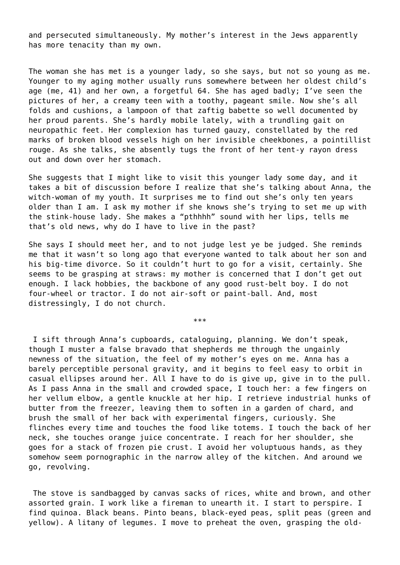and persecuted simultaneously. My mother's interest in the Jews apparently has more tenacity than my own.

The woman she has met is a younger lady, so she says, but not so young as me. Younger to my aging mother usually runs somewhere between her oldest child's age (me, 41) and her own, a forgetful 64. She has aged badly; I've seen the pictures of her, a creamy teen with a toothy, pageant smile. Now she's all folds and cushions, a lampoon of that zaftig babette so well documented by her proud parents. She's hardly mobile lately, with a trundling gait on neuropathic feet. Her complexion has turned gauzy, constellated by the red marks of broken blood vessels high on her invisible cheekbones, a pointillist rouge. As she talks, she absently tugs the front of her tent-y rayon dress out and down over her stomach.

She suggests that I might like to visit this younger lady some day, and it takes a bit of discussion before I realize that she's talking about Anna, the witch-woman of my youth. It surprises me to find out she's only ten years older than I am. I ask my mother if she knows she's trying to set me up with the stink-house lady. She makes a "pthhhh" sound with her lips, tells me that's old news, why do I have to live in the past?

She says I should meet her, and to not judge lest ye be judged. She reminds me that it wasn't so long ago that everyone wanted to talk about her son and his big-time divorce. So it couldn't hurt to go for a visit, certainly. She seems to be grasping at straws: my mother is concerned that I don't get out enough. I lack hobbies, the backbone of any good rust-belt boy. I do not four-wheel or tractor. I do not air-soft or paint-ball. And, most distressingly, I do not church.

\*\*\*

 I sift through Anna's cupboards, cataloguing, planning. We don't speak, though I muster a false bravado that shepherds me through the ungainly newness of the situation, the feel of my mother's eyes on me. Anna has a barely perceptible personal gravity, and it begins to feel easy to orbit in casual ellipses around her. All I have to do is give up, give in to the pull. As I pass Anna in the small and crowded space, I touch her: a few fingers on her vellum elbow, a gentle knuckle at her hip. I retrieve industrial hunks of butter from the freezer, leaving them to soften in a garden of chard, and brush the small of her back with experimental fingers, curiously. She flinches every time and touches the food like totems. I touch the back of her neck, she touches orange juice concentrate. I reach for her shoulder, she goes for a stack of frozen pie crust. I avoid her voluptuous hands, as they somehow seem pornographic in the narrow alley of the kitchen. And around we go, revolving.

 The stove is sandbagged by canvas sacks of rices, white and brown, and other assorted grain. I work like a fireman to unearth it. I start to perspire. I find quinoa. Black beans. Pinto beans, black-eyed peas, split peas (green and yellow). A litany of legumes. I move to preheat the oven, grasping the old-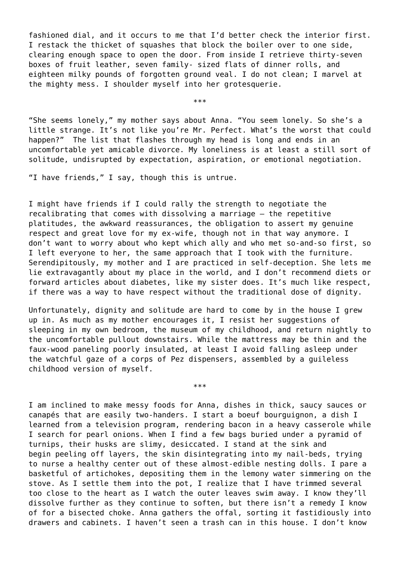fashioned dial, and it occurs to me that I'd better check the interior first. I restack the thicket of squashes that block the boiler over to one side, clearing enough space to open the door. From inside I retrieve thirty-seven boxes of fruit leather, seven family- sized flats of dinner rolls, and eighteen milky pounds of forgotten ground veal. I do not clean; I marvel at the mighty mess. I shoulder myself into her grotesquerie.

\*\*\*

"She seems lonely," my mother says about Anna. "You seem lonely. So she's a little strange. It's not like you're Mr. Perfect. What's the worst that could happen?" The list that flashes through my head is long and ends in an uncomfortable yet amicable divorce. My loneliness is at least a still sort of solitude, undisrupted by expectation, aspiration, or emotional negotiation.

"I have friends," I say, though this is untrue.

I might have friends if I could rally the strength to negotiate the recalibrating that comes with dissolving a marriage – the repetitive platitudes, the awkward reassurances, the obligation to assert my genuine respect and great love for my ex-wife, though not in that way anymore. I don't want to worry about who kept which ally and who met so-and-so first, so I left everyone to her, the same approach that I took with the furniture. Serendipitously, my mother and I are practiced in self-deception. She lets me lie extravagantly about my place in the world, and I don't recommend diets or forward articles about diabetes, like my sister does. It's much like respect, if there was a way to have respect without the traditional dose of dignity.

Unfortunately, dignity and solitude are hard to come by in the house I grew up in. As much as my mother encourages it, I resist her suggestions of sleeping in my own bedroom, the museum of my childhood, and return nightly to the uncomfortable pullout downstairs. While the mattress may be thin and the faux-wood paneling poorly insulated, at least I avoid falling asleep under the watchful gaze of a corps of Pez dispensers, assembled by a guileless childhood version of myself.

\*\*\*

I am inclined to make messy foods for Anna, dishes in thick, saucy sauces or canapés that are easily two-handers. I start a boeuf bourguignon, a dish I learned from a television program, rendering bacon in a heavy casserole while I search for pearl onions. When I find a few bags buried under a pyramid of turnips, their husks are slimy, desiccated. I stand at the sink and begin peeling off layers, the skin disintegrating into my nail-beds, trying to nurse a healthy center out of these almost-edible nesting dolls. I pare a basketful of artichokes, depositing them in the lemony water simmering on the stove. As I settle them into the pot, I realize that I have trimmed several too close to the heart as I watch the outer leaves swim away. I know they'll dissolve further as they continue to soften, but there isn't a remedy I know of for a bisected choke. Anna gathers the offal, sorting it fastidiously into drawers and cabinets. I haven't seen a trash can in this house. I don't know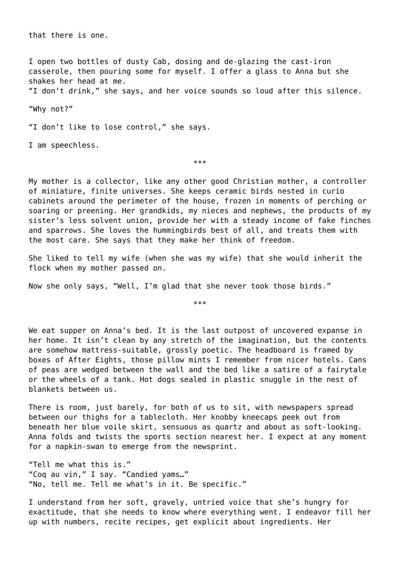that there is one.

I open two bottles of dusty Cab, dosing and de-glazing the cast-iron casserole, then pouring some for myself. I offer a glass to Anna but she shakes her head at me.

"I don't drink," she says, and her voice sounds so loud after this silence.

"Why not?"

"I don't like to lose control," she says.

I am speechless.

\*\*\*

My mother is a collector, like any other good Christian mother, a controller of miniature, finite universes. She keeps ceramic birds nested in curio cabinets around the perimeter of the house, frozen in moments of perching or soaring or preening. Her grandkids, my nieces and nephews, the products of my sister's less solvent union, provide her with a steady income of fake finches and sparrows. She loves the hummingbirds best of all, and treats them with the most care. She says that they make her think of freedom.

She liked to tell my wife (when she was my wife) that she would inherit the flock when my mother passed on.

Now she only says, "Well, I'm glad that she never took those birds."

\*\*\*

We eat supper on Anna's bed. It is the last outpost of uncovered expanse in her home. It isn't clean by any stretch of the imagination, but the contents are somehow mattress-suitable, grossly poetic. The headboard is framed by boxes of After Eights, those pillow mints I remember from nicer hotels. Cans of peas are wedged between the wall and the bed like a satire of a fairytale or the wheels of a tank. Hot dogs sealed in plastic snuggle in the nest of blankets between us.

There is room, just barely, for both of us to sit, with newspapers spread between our thighs for a tablecloth. Her knobby kneecaps peek out from beneath her blue voile skirt, sensuous as quartz and about as soft-looking. Anna folds and twists the sports section nearest her. I expect at any moment for a napkin-swan to emerge from the newsprint.

"Tell me what this is." "Coq au vin," I say. "Candied yams…" "No, tell me. Tell me what's in it. Be specific."

I understand from her soft, gravely, untried voice that she's hungry for exactitude, that she needs to know where everything went. I endeavor fill her up with numbers, recite recipes, get explicit about ingredients. Her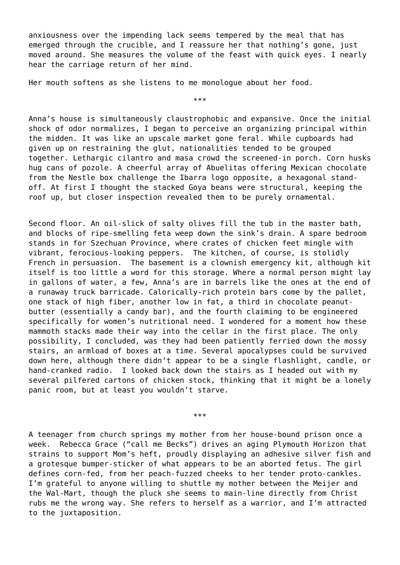anxiousness over the impending lack seems tempered by the meal that has emerged through the crucible, and I reassure her that nothing's gone, just moved around. She measures the volume of the feast with quick eyes. I nearly hear the carriage return of her mind.

Her mouth softens as she listens to me monologue about her food.

\*\*\*

Anna's house is simultaneously claustrophobic and expansive. Once the initial shock of odor normalizes, I began to perceive an organizing principal within the midden. It was like an upscale market gone feral. While cupboards had given up on restraining the glut, nationalities tended to be grouped together. Lethargic cilantro and masa crowd the screened-in porch. Corn husks hug cans of pozole. A cheerful array of Abuelitas offering Mexican chocolate from the Nestle box challenge the Ibarra logo opposite, a hexagonal standoff. At first I thought the stacked Goya beans were structural, keeping the roof up, but closer inspection revealed them to be purely ornamental.

Second floor. An oil-slick of salty olives fill the tub in the master bath, and blocks of ripe-smelling feta weep down the sink's drain. A spare bedroom stands in for Szechuan Province, where crates of chicken feet mingle with vibrant, ferocious-looking peppers. The kitchen, of course, is stolidly French in persuasion. The basement is a clownish emergency kit, although kit itself is too little a word for this storage. Where a normal person might lay in gallons of water, a few, Anna's are in barrels like the ones at the end of a runaway truck barricade. Calorically-rich protein bars come by the pallet, one stack of high fiber, another low in fat, a third in chocolate peanutbutter (essentially a candy bar), and the fourth claiming to be engineered specifically for women's nutritional need. I wondered for a moment how these mammoth stacks made their way into the cellar in the first place. The only possibility, I concluded, was they had been patiently ferried down the mossy stairs, an armload of boxes at a time. Several apocalypses could be survived down here, although there didn't appear to be a single flashlight, candle, or hand-cranked radio. I looked back down the stairs as I headed out with my several pilfered cartons of chicken stock, thinking that it might be a lonely panic room, but at least you wouldn't starve.

\*\*\*

A teenager from church springs my mother from her house-bound prison once a week. Rebecca Grace ("call me Becks") drives an aging Plymouth Horizon that strains to support Mom's heft, proudly displaying an adhesive silver fish and a grotesque bumper-sticker of what appears to be an aborted fetus. The girl defines corn-fed, from her peach-fuzzed cheeks to her tender proto-cankles. I'm grateful to anyone willing to shuttle my mother between the Meijer and the Wal-Mart, though the pluck she seems to main-line directly from Christ rubs me the wrong way. She refers to herself as a warrior, and I'm attracted to the juxtaposition.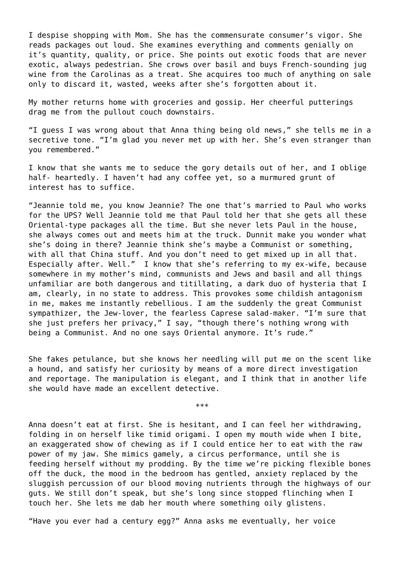I despise shopping with Mom. She has the commensurate consumer's vigor. She reads packages out loud. She examines everything and comments genially on it's quantity, quality, or price. She points out exotic foods that are never exotic, always pedestrian. She crows over basil and buys French-sounding jug wine from the Carolinas as a treat. She acquires too much of anything on sale only to discard it, wasted, weeks after she's forgotten about it.

My mother returns home with groceries and gossip. Her cheerful putterings drag me from the pullout couch downstairs.

"I guess I was wrong about that Anna thing being old news," she tells me in a secretive tone. "I'm glad you never met up with her. She's even stranger than you remembered."

I know that she wants me to seduce the gory details out of her, and I oblige half- heartedly. I haven't had any coffee yet, so a murmured grunt of interest has to suffice.

"Jeannie told me, you know Jeannie? The one that's married to Paul who works for the UPS? Well Jeannie told me that Paul told her that she gets all these Oriental-type packages all the time. But she never lets Paul in the house, she always comes out and meets him at the truck. Dunnit make you wonder what she's doing in there? Jeannie think she's maybe a Communist or something, with all that China stuff. And you don't need to get mixed up in all that. Especially after. Well." I know that she's referring to my ex-wife, because somewhere in my mother's mind, communists and Jews and basil and all things unfamiliar are both dangerous and titillating, a dark duo of hysteria that I am, clearly, in no state to address. This provokes some childish antagonism in me, makes me instantly rebellious. I am the suddenly the great Communist sympathizer, the Jew-lover, the fearless Caprese salad-maker. "I'm sure that she just prefers her privacy," I say, "though there's nothing wrong with being a Communist. And no one says Oriental anymore. It's rude."

She fakes petulance, but she knows her needling will put me on the scent like a hound, and satisfy her curiosity by means of a more direct investigation and reportage. The manipulation is elegant, and I think that in another life she would have made an excellent detective.

\*\*\*

Anna doesn't eat at first. She is hesitant, and I can feel her withdrawing, folding in on herself like timid origami. I open my mouth wide when I bite, an exaggerated show of chewing as if I could entice her to eat with the raw power of my jaw. She mimics gamely, a circus performance, until she is feeding herself without my prodding. By the time we're picking flexible bones off the duck, the mood in the bedroom has gentled, anxiety replaced by the sluggish percussion of our blood moving nutrients through the highways of our guts. We still don't speak, but she's long since stopped flinching when I touch her. She lets me dab her mouth where something oily glistens.

"Have you ever had a century egg?" Anna asks me eventually, her voice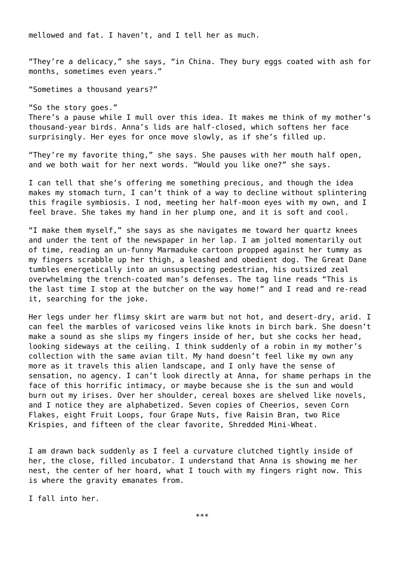mellowed and fat. I haven't, and I tell her as much.

"They're a delicacy," she says, "in China. They bury eggs coated with ash for months, sometimes even years."

"Sometimes a thousand years?"

"So the story goes." There's a pause while I mull over this idea. It makes me think of my mother's thousand-year birds. Anna's lids are half-closed, which softens her face surprisingly. Her eyes for once move slowly, as if she's filled up.

"They're my favorite thing," she says. She pauses with her mouth half open, and we both wait for her next words. "Would you like one?" she says.

I can tell that she's offering me something precious, and though the idea makes my stomach turn, I can't think of a way to decline without splintering this fragile symbiosis. I nod, meeting her half-moon eyes with my own, and I feel brave. She takes my hand in her plump one, and it is soft and cool.

"I make them myself," she says as she navigates me toward her quartz knees and under the tent of the newspaper in her lap. I am jolted momentarily out of time, reading an un-funny Marmaduke cartoon propped against her tummy as my fingers scrabble up her thigh, a leashed and obedient dog. The Great Dane tumbles energetically into an unsuspecting pedestrian, his outsized zeal overwhelming the trench-coated man's defenses. The tag line reads "This is the last time I stop at the butcher on the way home!" and I read and re-read it, searching for the joke.

Her legs under her flimsy skirt are warm but not hot, and desert-dry, arid. I can feel the marbles of varicosed veins like knots in birch bark. She doesn't make a sound as she slips my fingers inside of her, but she cocks her head, looking sideways at the ceiling. I think suddenly of a robin in my mother's collection with the same avian tilt. My hand doesn't feel like my own any more as it travels this alien landscape, and I only have the sense of sensation, no agency. I can't look directly at Anna, for shame perhaps in the face of this horrific intimacy, or maybe because she is the sun and would burn out my irises. Over her shoulder, cereal boxes are shelved like novels, and I notice they are alphabetized. Seven copies of Cheerios, seven Corn Flakes, eight Fruit Loops, four Grape Nuts, five Raisin Bran, two Rice Krispies, and fifteen of the clear favorite, Shredded Mini-Wheat.

I am drawn back suddenly as I feel a curvature clutched tightly inside of her, the close, filled incubator. I understand that Anna is showing me her nest, the center of her hoard, what I touch with my fingers right now. This is where the gravity emanates from.

I fall into her.